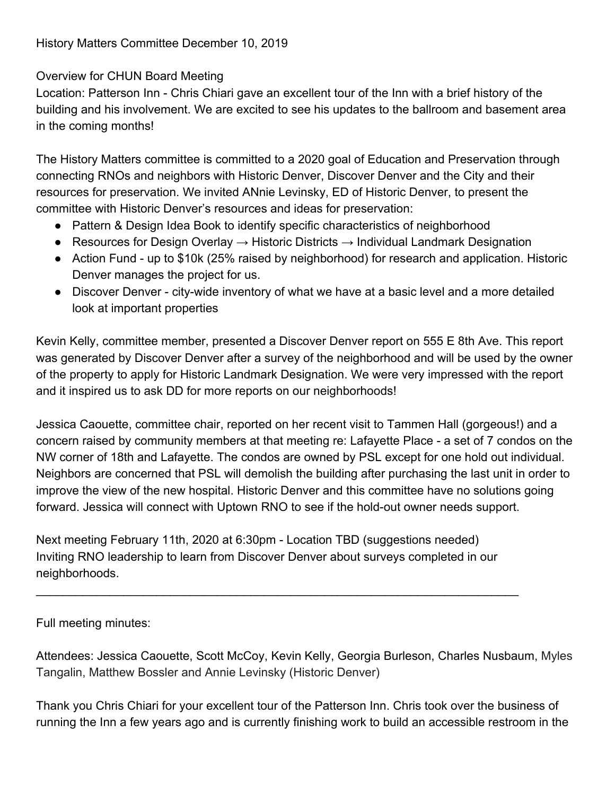### Overview for CHUN Board Meeting

Location: Patterson Inn - Chris Chiari gave an excellent tour of the Inn with a brief history of the building and his involvement. We are excited to see his updates to the ballroom and basement area in the coming months!

The History Matters committee is committed to a 2020 goal of Education and Preservation through connecting RNOs and neighbors with Historic Denver, Discover Denver and the City and their resources for preservation. We invited ANnie Levinsky, ED of Historic Denver, to present the committee with Historic Denver's resources and ideas for preservation:

- Pattern & Design Idea Book to identify specific characteristics of neighborhood
- Resources for Design Overlay  $\rightarrow$  Historic Districts  $\rightarrow$  Individual Landmark Designation
- Action Fund up to \$10k (25% raised by neighborhood) for research and application. Historic Denver manages the project for us.
- Discover Denver city-wide inventory of what we have at a basic level and a more detailed look at important properties

Kevin Kelly, committee member, presented a Discover Denver report on 555 E 8th Ave. This report was generated by Discover Denver after a survey of the neighborhood and will be used by the owner of the property to apply for Historic Landmark Designation. We were very impressed with the report and it inspired us to ask DD for more reports on our neighborhoods!

Jessica Caouette, committee chair, reported on her recent visit to Tammen Hall (gorgeous!) and a concern raised by community members at that meeting re: Lafayette Place - a set of 7 condos on the NW corner of 18th and Lafayette. The condos are owned by PSL except for one hold out individual. Neighbors are concerned that PSL will demolish the building after purchasing the last unit in order to improve the view of the new hospital. Historic Denver and this committee have no solutions going forward. Jessica will connect with Uptown RNO to see if the hold-out owner needs support.

Next meeting February 11th, 2020 at 6:30pm - Location TBD (suggestions needed) Inviting RNO leadership to learn from Discover Denver about surveys completed in our neighborhoods.

\_\_\_\_\_\_\_\_\_\_\_\_\_\_\_\_\_\_\_\_\_\_\_\_\_\_\_\_\_\_\_\_\_\_\_\_\_\_\_\_\_\_\_\_\_\_\_\_\_\_\_\_\_\_\_\_\_\_\_\_\_\_\_\_\_\_\_\_\_\_\_\_

### Full meeting minutes:

Attendees: Jessica Caouette, Scott McCoy, Kevin Kelly, Georgia Burleson, Charles Nusbaum, Myles Tangalin, Matthew Bossler and Annie Levinsky (Historic Denver)

Thank you Chris Chiari for your excellent tour of the Patterson Inn. Chris took over the business of running the Inn a few years ago and is currently finishing work to build an accessible restroom in the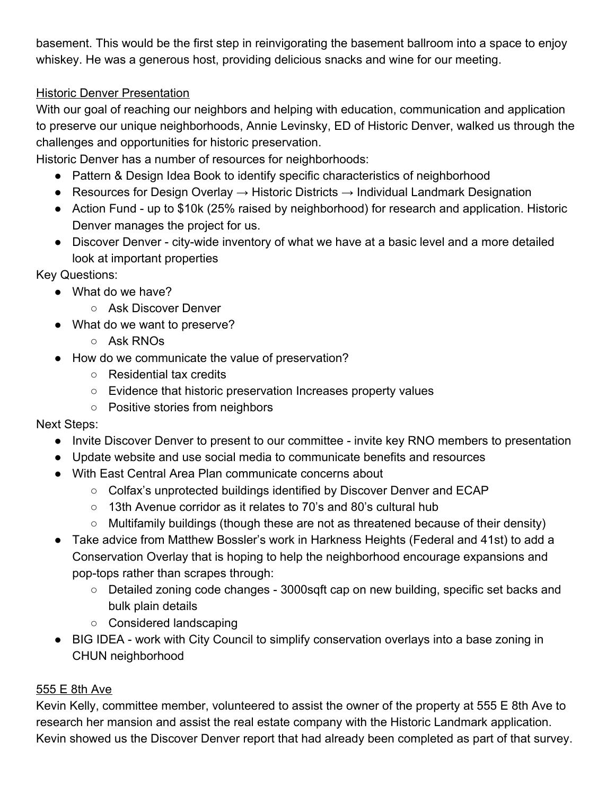basement. This would be the first step in reinvigorating the basement ballroom into a space to enjoy whiskey. He was a generous host, providing delicious snacks and wine for our meeting.

## Historic Denver Presentation

With our goal of reaching our neighbors and helping with education, communication and application to preserve our unique neighborhoods, Annie Levinsky, ED of Historic Denver, walked us through the challenges and opportunities for historic preservation.

Historic Denver has a number of resources for neighborhoods:

- Pattern & Design Idea Book to identify specific characteristics of neighborhood
- $\bullet$  Resources for Design Overlay  $\rightarrow$  Historic Districts  $\rightarrow$  Individual Landmark Designation
- Action Fund up to \$10k (25% raised by neighborhood) for research and application. Historic Denver manages the project for us.
- Discover Denver city-wide inventory of what we have at a basic level and a more detailed look at important properties

Key Questions:

- What do we have?
	- Ask Discover Denver
- What do we want to preserve?
	- Ask RNOs
- How do we communicate the value of preservation?
	- Residential tax credits
	- Evidence that historic preservation Increases property values
	- Positive stories from neighbors

Next Steps:

- Invite Discover Denver to present to our committee invite key RNO members to presentation
- Update website and use social media to communicate benefits and resources
- With East Central Area Plan communicate concerns about
	- Colfax's unprotected buildings identified by Discover Denver and ECAP
	- 13th Avenue corridor as it relates to 70's and 80's cultural hub
	- Multifamily buildings (though these are not as threatened because of their density)
- Take advice from Matthew Bossler's work in Harkness Heights (Federal and 41st) to add a Conservation Overlay that is hoping to help the neighborhood encourage expansions and pop-tops rather than scrapes through:
	- Detailed zoning code changes 3000sqft cap on new building, specific set backs and bulk plain details
	- Considered landscaping
- BIG IDEA work with City Council to simplify conservation overlays into a base zoning in CHUN neighborhood

# 555 E 8th Ave

Kevin Kelly, committee member, volunteered to assist the owner of the property at 555 E 8th Ave to research her mansion and assist the real estate company with the Historic Landmark application. Kevin showed us the Discover Denver report that had already been completed as part of that survey.